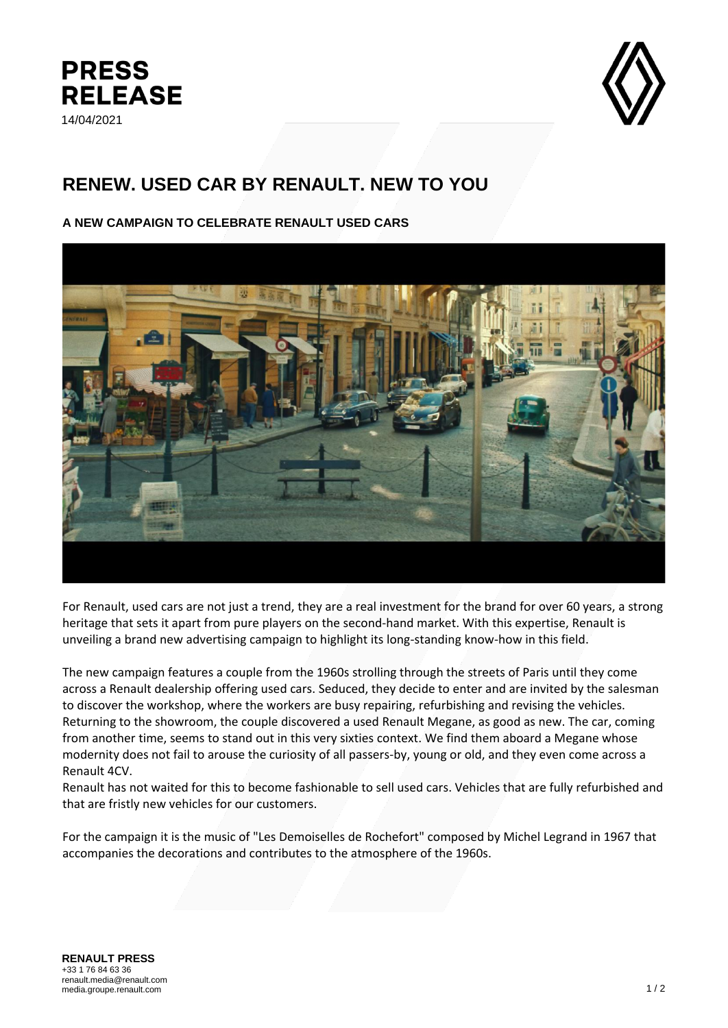



## **RENEW. USED CAR BY RENAULT. NEW TO YOU**

## **A NEW CAMPAIGN TO CELEBRATE RENAULT USED CARS**



For Renault, used cars are not just a trend, they are a real investment for the brand for over 60 years, a strong heritage that sets it apart from pure players on the second-hand market. With this expertise, Renault is unveiling a brand new advertising campaign to highlight its long-standing know-how in this field.

The new campaign features a couple from the 1960s strolling through the streets of Paris until they come across a Renault dealership offering used cars. Seduced, they decide to enter and are invited by the salesman to discover the workshop, where the workers are busy repairing, refurbishing and revising the vehicles. Returning to the showroom, the couple discovered a used Renault Megane, as good as new. The car, coming from another time, seems to stand out in this very sixties context. We find them aboard a Megane whose modernity does not fail to arouse the curiosity of all passers-by, young or old, and they even come across a Renault 4CV.

Renault has not waited for this to become fashionable to sell used cars. Vehicles that are fully refurbished and that are fristly new vehicles for our customers.

For the campaign it is the music of "Les Demoiselles de Rochefort" composed by Michel Legrand in 1967 that accompanies the decorations and contributes to the atmosphere of the 1960s.